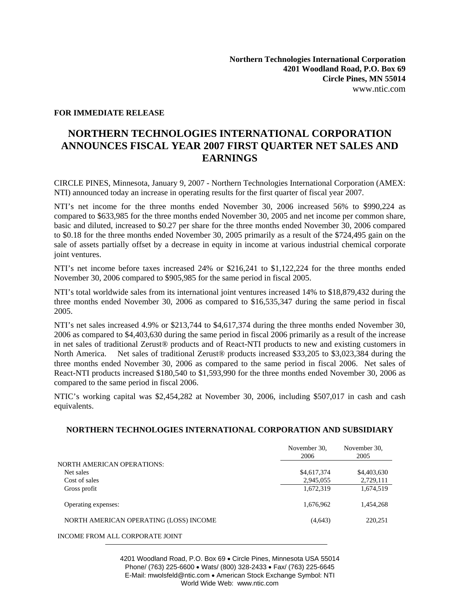## **FOR IMMEDIATE RELEASE**

## **NORTHERN TECHNOLOGIES INTERNATIONAL CORPORATION ANNOUNCES FISCAL YEAR 2007 FIRST QUARTER NET SALES AND EARNINGS**

CIRCLE PINES, Minnesota, January 9, 2007 - Northern Technologies International Corporation (AMEX: NTI) announced today an increase in operating results for the first quarter of fiscal year 2007.

NTI's net income for the three months ended November 30, 2006 increased 56% to \$990,224 as compared to \$633,985 for the three months ended November 30, 2005 and net income per common share, basic and diluted, increased to \$0.27 per share for the three months ended November 30, 2006 compared to \$0.18 for the three months ended November 30, 2005 primarily as a result of the \$724,495 gain on the sale of assets partially offset by a decrease in equity in income at various industrial chemical corporate joint ventures.

NTI's net income before taxes increased 24% or \$216,241 to \$1,122,224 for the three months ended November 30, 2006 compared to \$905,985 for the same period in fiscal 2005.

NTI's total worldwide sales from its international joint ventures increased 14% to \$18,879,432 during the three months ended November 30, 2006 as compared to \$16,535,347 during the same period in fiscal 2005.

NTI's net sales increased 4.9% or \$213,744 to \$4,617,374 during the three months ended November 30, 2006 as compared to \$4,403,630 during the same period in fiscal 2006 primarily as a result of the increase in net sales of traditional Zerust® products and of React-NTI products to new and existing customers in North America. Net sales of traditional Zerust® products increased \$33,205 to \$3,023,384 during the three months ended November 30, 2006 as compared to the same period in fiscal 2006. Net sales of React-NTI products increased \$180,540 to \$1,593,990 for the three months ended November 30, 2006 as compared to the same period in fiscal 2006.

NTIC's working capital was \$2,454,282 at November 30, 2006, including \$507,017 in cash and cash equivalents.

## **NORTHERN TECHNOLOGIES INTERNATIONAL CORPORATION AND SUBSIDIARY**

|                                        | November 30,<br>2006 | November 30.<br>2005 |
|----------------------------------------|----------------------|----------------------|
| <b>NORTH AMERICAN OPERATIONS:</b>      |                      |                      |
| Net sales                              | \$4,617,374          | \$4,403,630          |
| Cost of sales                          | 2,945,055            | 2,729,111            |
| Gross profit                           | 1,672,319            | 1,674,519            |
| Operating expenses:                    | 1,676,962            | 1,454,268            |
| NORTH AMERICAN OPERATING (LOSS) INCOME | (4,643)              | 220,251              |
| INCOME FROM ALL CORPORATE JOINT        |                      |                      |

4201 Woodland Road, P.O. Box 69 • Circle Pines, Minnesota USA 55014 Phone/ (763) 225-6600 • Wats/ (800) 328-2433 • Fax/ (763) 225-6645 E-Mail: mwolsfeld@ntic.com • American Stock Exchange Symbol: NTI World Wide Web: www.ntic.com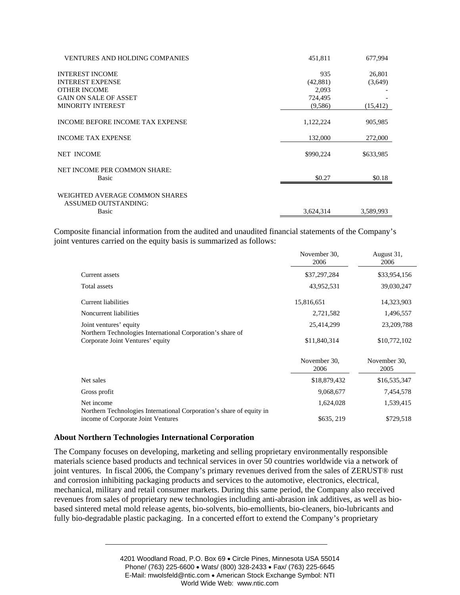| <b>VENTURES AND HOLDING COMPANIES</b>   | 451,811   | 677.994   |
|-----------------------------------------|-----------|-----------|
| <b>INTEREST INCOME</b>                  | 935       | 26,801    |
| <b>INTEREST EXPENSE</b>                 | (42, 881) | (3,649)   |
| <b>OTHER INCOME</b>                     | 2.093     |           |
| <b>GAIN ON SALE OF ASSET</b>            | 724,495   |           |
| <b>MINORITY INTEREST</b>                | (9,586)   | (15, 412) |
| <b>INCOME BEFORE INCOME TAX EXPENSE</b> | 1,122,224 | 905,985   |
| <b>INCOME TAX EXPENSE</b>               | 132,000   | 272,000   |
| <b>NET INCOME</b>                       | \$990,224 | \$633,985 |
| NET INCOME PER COMMON SHARE:            |           |           |
| <b>Basic</b>                            | \$0.27    | \$0.18    |
| WEIGHTED AVERAGE COMMON SHARES          |           |           |
| ASSUMED OUTSTANDING:                    |           |           |
| Basic                                   | 3,624,314 | 3,589,993 |

Composite financial information from the audited and unaudited financial statements of the Company's joint ventures carried on the equity basis is summarized as follows:

|                                                                                                            | November 30,<br>2006 | August 31,<br>2006   |
|------------------------------------------------------------------------------------------------------------|----------------------|----------------------|
| Current assets                                                                                             | \$37,297,284         | \$33,954,156         |
| Total assets                                                                                               | 43,952,531           | 39,030,247           |
| <b>Current liabilities</b>                                                                                 | 15,816,651           | 14,323,903           |
| Noncurrent liabilities                                                                                     | 2,721,582            | 1,496,557            |
| Joint ventures' equity                                                                                     | 25,414,299           | 23,209,788           |
| Northern Technologies International Corporation's share of<br>Corporate Joint Ventures' equity             | \$11,840,314         | \$10,772,102         |
|                                                                                                            | November 30.<br>2006 | November 30,<br>2005 |
| Net sales                                                                                                  | \$18,879,432         | \$16,535,347         |
| Gross profit                                                                                               | 9,068,677            | 7,454,578            |
| Net income                                                                                                 | 1,624,028            | 1,539,415            |
| Northern Technologies International Corporation's share of equity in<br>income of Corporate Joint Ventures | \$635, 219           | \$729,518            |

## **About Northern Technologies International Corporation**

The Company focuses on developing, marketing and selling proprietary environmentally responsible materials science based products and technical services in over 50 countries worldwide via a network of joint ventures. In fiscal 2006, the Company's primary revenues derived from the sales of ZERUST® rust and corrosion inhibiting packaging products and services to the automotive, electronics, electrical, mechanical, military and retail consumer markets. During this same period, the Company also received revenues from sales of proprietary new technologies including anti-abrasion ink additives, as well as biobased sintered metal mold release agents, bio-solvents, bio-emollients, bio-cleaners, bio-lubricants and fully bio-degradable plastic packaging. In a concerted effort to extend the Company's proprietary